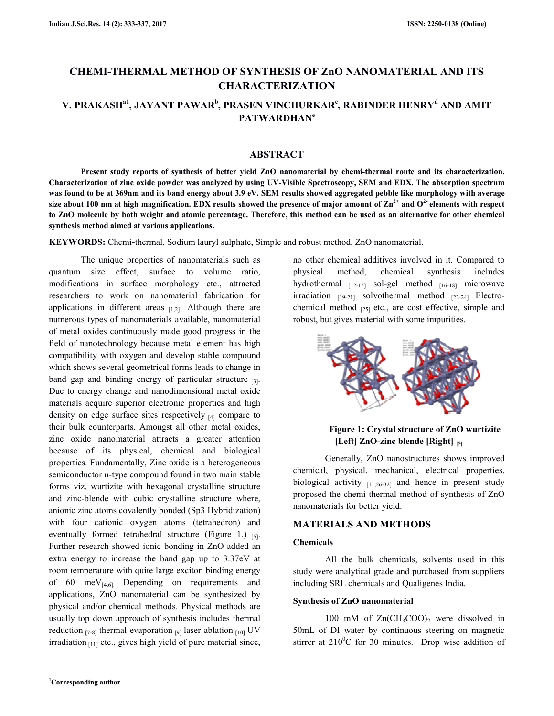# **CHEMI-THERMAL METHOD OF SYNTHESIS OF ZnO NANOMATERIAL AND ITS CHARACTERIZATION**

# **V. PRAKASHa1, JAYANT PAWAR<sup>b</sup> , PRASEN VINCHURKAR<sup>c</sup> , RABINDER HENRY<sup>d</sup> AND AMIT PATWARDHAN<sup>e</sup>**

# **ABSTRACT**

 **Present study reports of synthesis of better yield ZnO nanomaterial by chemi-thermal route and its characterization. Characterization of zinc oxide powder was analyzed by using UV-Visible Spectroscopy, SEM and EDX. The absorption spectrum was found to be at 369nm and its band energy about 3.9 eV. SEM results showed aggregated pebble like morphology with average size about 100 nm at high magnification. EDX results showed the presence of major amount of Zn2+ and O2- elements with respect to ZnO molecule by both weight and atomic percentage. Therefore, this method can be used as an alternative for other chemical synthesis method aimed at various applications.** 

**KEYWORDS:** Chemi-thermal, Sodium lauryl sulphate, Simple and robust method, ZnO nanomaterial.

 The unique properties of nanomaterials such as quantum size effect, surface to volume ratio, modifications in surface morphology etc., attracted researchers to work on nanomaterial fabrication for applications in different areas  $_{[1,2]}$ . Although there are numerous types of nanomaterials available, nanomaterial of metal oxides continuously made good progress in the field of nanotechnology because metal element has high compatibility with oxygen and develop stable compound which shows several geometrical forms leads to change in band gap and binding energy of particular structure  $_{[3]}$ . Due to energy change and nanodimensional metal oxide materials acquire superior electronic properties and high density on edge surface sites respectively  $_{[4]}$  compare to their bulk counterparts. Amongst all other metal oxides, zinc oxide nanomaterial attracts a greater attention because of its physical, chemical and biological properties. Fundamentally, Zinc oxide is a heterogeneous semiconductor n-type compound found in two main stable forms viz. wurtizite with hexagonal crystalline structure and zinc-blende with cubic crystalline structure where, anionic zinc atoms covalently bonded (Sp3 Hybridization) with four cationic oxygen atoms (tetrahedron) and eventually formed tetrahedral structure (Figure 1.)  $_{[5]}$ . Further research showed ionic bonding in ZnO added an extra energy to increase the band gap up to 3.37eV at room temperature with quite large exciton binding energy of 60 meV $_{[4,6]}$  Depending on requirements and applications, ZnO nanomaterial can be synthesized by physical and/or chemical methods. Physical methods are usually top down approach of synthesis includes thermal reduction  $_{[7-8]}$  thermal evaporation  $_{[9]}$  laser ablation  $_{[10]}$  UV irradiation  $_{[11]}$  etc., gives high yield of pure material since,

no other chemical additives involved in it. Compared to physical method, chemical synthesis includes hydrothermal  $_{[12-15]}$  sol-gel method  $_{[16-18]}$  microwave irradiation  $_{[19-21]}$  solvothermal method  $_{[22-24]}$  Electrochemical method  $_{[25]}$  etc., are cost effective, simple and robust, but gives material with some impurities.



### **Figure 1: Crystal structure of ZnO wurtizite [Left] ZnO-zinc blende [Right] [5]**

 Generally, ZnO nanostructures shows improved chemical, physical, mechanical, electrical properties, biological activity  $_{[11,26-32]}$  and hence in present study proposed the chemi-thermal method of synthesis of ZnO nanomaterials for better yield.

#### **MATERIALS AND METHODS**

#### **Chemicals**

 All the bulk chemicals, solvents used in this study were analytical grade and purchased from suppliers including SRL chemicals and Qualigenes India.

#### **Synthesis of ZnO nanomaterial**

100 mM of  $Zn(CH_3COO)_2$  were dissolved in 50mL of DI water by continuous steering on magnetic stirrer at  $210^{\circ}$ C for 30 minutes. Drop wise addition of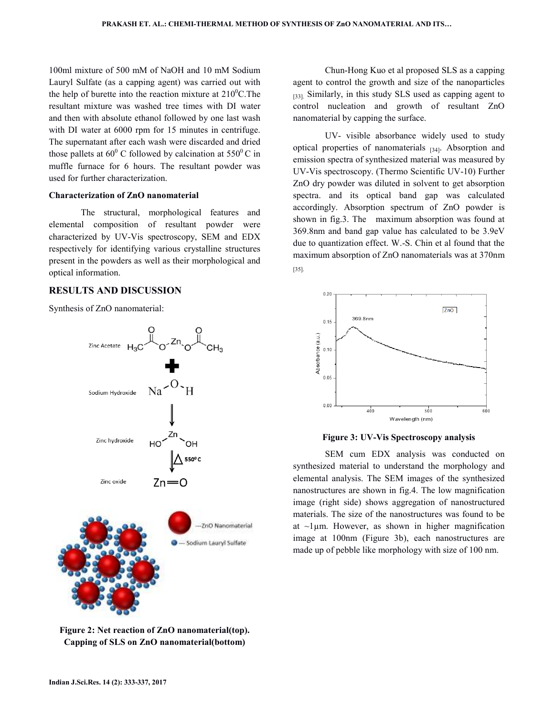100ml mixture of 500 mM of NaOH and 10 mM Sodium Lauryl Sulfate (as a capping agent) was carried out with the help of burette into the reaction mixture at  $210^0$ C. The resultant mixture was washed tree times with DI water and then with absolute ethanol followed by one last wash with DI water at 6000 rpm for 15 minutes in centrifuge. The supernatant after each wash were discarded and dried those pallets at  $60^{\circ}$  C followed by calcination at  $550^{\circ}$ C in muffle furnace for 6 hours. The resultant powder was used for further characterization.

#### **Characterization of ZnO nanomaterial**

The structural, morphological features and elemental composition of resultant powder were characterized by UV-Vis spectroscopy, SEM and EDX respectively for identifying various crystalline structures present in the powders as well as their morphological and optical information.

#### **RESULTS AND DISCUSSION**

Synthesis of ZnO nanomaterial:



**Figure 2: Net reaction of ZnO nanomaterial(top). Capping of SLS on ZnO nanomaterial(bottom)** 

 Chun-Hong Kuo et al proposed SLS as a capping agent to control the growth and size of the nanoparticles [33]. Similarly, in this study SLS used as capping agent to control nucleation and growth of resultant ZnO nanomaterial by capping the surface.

 UV- visible absorbance widely used to study optical properties of nanomaterials  $_{[34]}$ . Absorption and emission spectra of synthesized material was measured by UV-Vis spectroscopy. (Thermo Scientific UV-10) Further ZnO dry powder was diluted in solvent to get absorption spectra. and its optical band gap was calculated accordingly. Absorption spectrum of ZnO powder is shown in fig.3. The maximum absorption was found at 369.8nm and band gap value has calculated to be 3.9eV due to quantization effect. W.-S. Chin et al found that the maximum absorption of ZnO nanomaterials was at 370nm [35].



#### **Figure 3: UV-Vis Spectroscopy analysis**

 SEM cum EDX analysis was conducted on synthesized material to understand the morphology and elemental analysis. The SEM images of the synthesized nanostructures are shown in fig.4. The low magnification image (right side) shows aggregation of nanostructured materials. The size of the nanostructures was found to be at  $\sim$ 1 $\mu$ m. However, as shown in higher magnification image at 100nm (Figure 3b), each nanostructures are made up of pebble like morphology with size of 100 nm.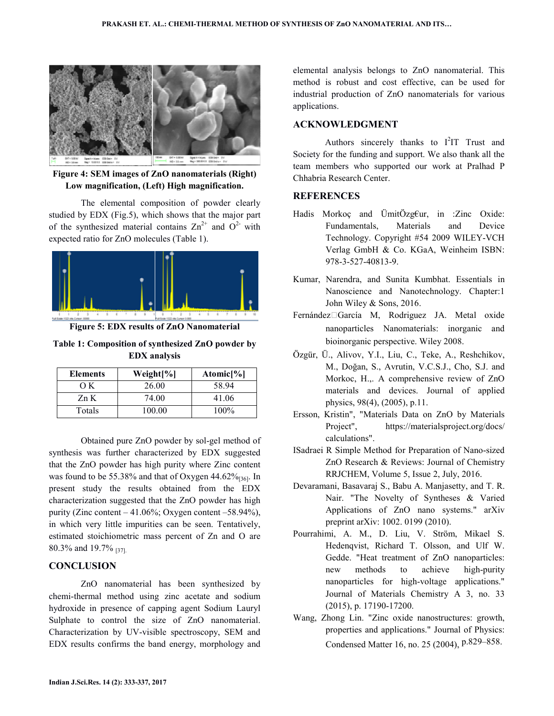

**Figure 4: SEM images of ZnO nanomaterials (Right) Low magnification, (Left) High magnification.** 

 The elemental composition of powder clearly studied by EDX (Fig.5), which shows that the major part of the synthesized material contains  $\text{Zn}^{2+}$  and  $\text{O}^{2-}$  with expected ratio for ZnO molecules (Table 1).



**Figure 5: EDX results of ZnO Nanomaterial** 

**Table 1: Composition of synthesized ZnO powder by EDX analysis** 

| <b>Elements</b> | Weight[%] | Atomic $[\%]$ |
|-----------------|-----------|---------------|
| OΚ              | 26.00     | 58.94         |
| Zn K            | 74.00     | 41.06         |
| Totals          | 100.00    | $100\%$       |

Obtained pure ZnO powder by sol-gel method of synthesis was further characterized by EDX suggested that the ZnO powder has high purity where Zinc content was found to be 55.38% and that of Oxygen  $44.62\%_{[36]}$ . In present study the results obtained from the EDX characterization suggested that the ZnO powder has high purity (Zinc content – 41.06%; Oxygen content –58.94%), in which very little impurities can be seen. Tentatively, estimated stoichiometric mass percent of Zn and O are 80.3% and 19.7% [37].

# **CONCLUSION**

 ZnO nanomaterial has been synthesized by chemi-thermal method using zinc acetate and sodium hydroxide in presence of capping agent Sodium Lauryl Sulphate to control the size of ZnO nanomaterial. Characterization by UV-visible spectroscopy, SEM and EDX results confirms the band energy, morphology and

elemental analysis belongs to ZnO nanomaterial. This method is robust and cost effective, can be used for industrial production of ZnO nanomaterials for various applications.

# **ACKNOWLEDGMENT**

Authors sincerely thanks to  $I^2IT$  Trust and Society for the funding and support. We also thank all the team members who supported our work at Pralhad P Chhabria Research Center.

# **REFERENCES**

- Hadis Morkoç and ÜmitÖzg€ur, in :Zinc Oxide: Fundamentals, Materials and Device Technology. Copyright #54 2009 WILEY-VCH Verlag GmbH & Co. KGaA, Weinheim ISBN: 978-3-527-40813-9.
- Kumar, Narendra, and Sunita Kumbhat. Essentials in Nanoscience and Nanotechnology. Chapter:1 John Wiley & Sons, 2016.
- Fernández‐García M, Rodriguez JA. Metal oxide nanoparticles Nanomaterials: inorganic and bioinorganic perspective. Wiley 2008.
- Özgür, Ü., Alivov, Y.I., Liu, C., Teke, A., Reshchikov, M., Doğan, S., Avrutin, V.C.S.J., Cho, S.J. and Morkoc, H.,. A comprehensive review of ZnO materials and devices. Journal of applied physics, 98(4), (2005), p.11.
- Ersson, Kristin", "Materials Data on ZnO by Materials Project", https://materialsproject.org/docs/ calculations".
- ISadraei R Simple Method for Preparation of Nano-sized ZnO Research & Reviews: Journal of Chemistry RRJCHEM, Volume 5, Issue 2, July, 2016.
- Devaramani, Basavaraj S., Babu A. Manjasetty, and T. R. Nair. "The Novelty of Syntheses & Varied Applications of ZnO nano systems." arXiv preprint arXiv: 1002. 0199 (2010).
- Pourrahimi, A. M., D. Liu, V. Ström, Mikael S. Hedenqvist, Richard T. Olsson, and Ulf W. Gedde. "Heat treatment of ZnO nanoparticles: new methods to achieve high-purity nanoparticles for high-voltage applications." Journal of Materials Chemistry A 3, no. 33 (2015), p. 17190-17200.
- Wang, Zhong Lin. "Zinc oxide nanostructures: growth, properties and applications." Journal of Physics: Condensed Matter 16, no. 25 (2004), p.829–858.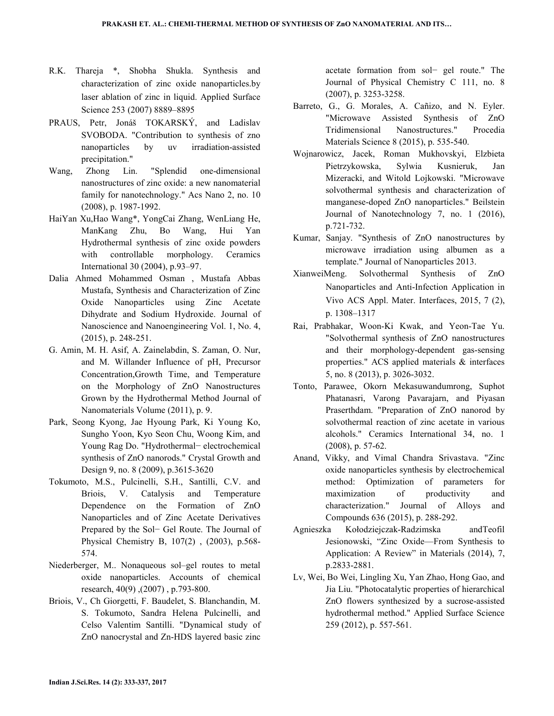- R.K. Thareja \*, Shobha Shukla. Synthesis and characterization of zinc oxide nanoparticles.by laser ablation of zinc in liquid. Applied Surface Science 253 (2007) 8889–8895
- PRAUS, Petr, Jonáš TOKARSKÝ, and Ladislav SVOBODA. "Contribution to synthesis of zno nanoparticles by uv irradiation-assisted precipitation."
- Wang, Zhong Lin. "Splendid one-dimensional nanostructures of zinc oxide: a new nanomaterial family for nanotechnology." Acs Nano 2, no. 10 (2008), p. 1987-1992.
- HaiYan Xu,Hao Wang\*, YongCai Zhang, WenLiang He, ManKang Zhu, Bo Wang, Hui Yan Hydrothermal synthesis of zinc oxide powders with controllable morphology. Ceramics International 30 (2004), p.93–97.
- Dalia Ahmed Mohammed Osman , Mustafa Abbas Mustafa, Synthesis and Characterization of Zinc Oxide Nanoparticles using Zinc Acetate Dihydrate and Sodium Hydroxide. Journal of Nanoscience and Nanoengineering Vol. 1, No. 4, (2015), p. 248-251.
- G. Amin, M. H. Asif, A. Zainelabdin, S. Zaman, O. Nur, and M. Willander Influence of pH, Precursor Concentration,Growth Time, and Temperature on the Morphology of ZnO Nanostructures Grown by the Hydrothermal Method Journal of Nanomaterials Volume (2011), p. 9.
- Park, Seong Kyong, Jae Hyoung Park, Ki Young Ko, Sungho Yoon, Kyo Seon Chu, Woong Kim, and Young Rag Do. "Hydrothermal− electrochemical synthesis of ZnO nanorods." Crystal Growth and Design 9, no. 8 (2009), p.3615-3620
- Tokumoto, M.S., Pulcinelli, S.H., Santilli, C.V. and Briois, V. Catalysis and Temperature Dependence on the Formation of ZnO Nanoparticles and of Zinc Acetate Derivatives Prepared by the Sol− Gel Route. The Journal of Physical Chemistry B, 107(2) , (2003), p.568- 574.
- Niederberger, M.. Nonaqueous sol–gel routes to metal oxide nanoparticles. Accounts of chemical research, 40(9) ,(2007) , p.793-800.
- Briois, V., Ch Giorgetti, F. Baudelet, S. Blanchandin, M. S. Tokumoto, Sandra Helena Pulcinelli, and Celso Valentim Santilli. "Dynamical study of ZnO nanocrystal and Zn-HDS layered basic zinc

acetate formation from sol− gel route." The Journal of Physical Chemistry C 111, no. 8 (2007), p. 3253-3258.

- Barreto, G., G. Morales, A. Cañizo, and N. Eyler. "Microwave Assisted Synthesis of ZnO Tridimensional Nanostructures." Procedia Materials Science 8 (2015), p. 535-540.
- Wojnarowicz, Jacek, Roman Mukhovskyi, Elzbieta Pietrzykowska, Sylwia Kusnieruk, Jan Mizeracki, and Witold Lojkowski. "Microwave solvothermal synthesis and characterization of manganese-doped ZnO nanoparticles." Beilstein Journal of Nanotechnology 7, no. 1 (2016), p.721-732.
- Kumar, Sanjay. "Synthesis of ZnO nanostructures by microwave irradiation using albumen as a template." Journal of Nanoparticles 2013.
- XianweiMeng. Solvothermal Synthesis of ZnO Nanoparticles and Anti-Infection Application in Vivo ACS Appl. Mater. Interfaces, 2015, 7 (2), p. 1308–1317
- Rai, Prabhakar, Woon-Ki Kwak, and Yeon-Tae Yu. "Solvothermal synthesis of ZnO nanostructures and their morphology-dependent gas-sensing properties." ACS applied materials & interfaces 5, no. 8 (2013), p. 3026-3032.
- Tonto, Parawee, Okorn Mekasuwandumrong, Suphot Phatanasri, Varong Pavarajarn, and Piyasan Praserthdam. "Preparation of ZnO nanorod by solvothermal reaction of zinc acetate in various alcohols." Ceramics International 34, no. 1 (2008), p. 57-62.
- Anand, Vikky, and Vimal Chandra Srivastava. "Zinc oxide nanoparticles synthesis by electrochemical method: Optimization of parameters for maximization of productivity and characterization." Journal of Alloys and Compounds 636 (2015), p. 288-292.
- Agnieszka Kołodziejczak-Radzimska andTeofil Jesionowski, "Zinc Oxide—From Synthesis to Application: A Review" in Materials (2014), 7, p.2833-2881.
- Lv, Wei, Bo Wei, Lingling Xu, Yan Zhao, Hong Gao, and Jia Liu. "Photocatalytic properties of hierarchical ZnO flowers synthesized by a sucrose-assisted hydrothermal method." Applied Surface Science 259 (2012), p. 557-561.